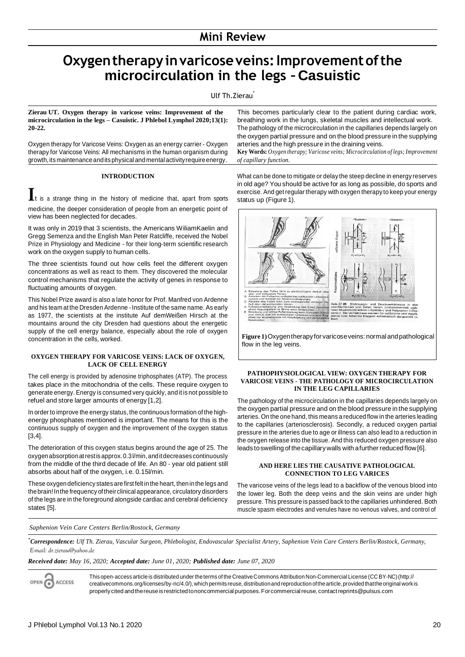# **Oxygentherapyinvaricoseveins:Improvementofthe microcirculation in the legs – Casuistic**

Ulf Th.Zierau<sup>\*</sup>

**Zierau UT. Oxygen therapy in varicose veins: Improvement of the microcirculation in the legs – Casuistic. J Phlebol Lymphol 2020;13(1): 20-22.**

Oxygen therapy for Varicose Veins: Oxygen as an energy carrier - Oxygen therapy for Varicose Veins: All mechanisms in the human organism during growth, its maintenance and its physical and mental activity require energy.

## **INTRODUCTION**

is a strange thing in the history of medicine that, apart from sports medicine, the deeper consideration of people from an energetic point of view has been neglected for decades.

It was only in 2019 that 3 scientists, the Americans WiliamKaelin and Gregg Semenza and the English Man Peter Ratcliffe, received the Nobel Prize in Physiology and Medicine - for their long-term scientific research work on the oxygen supply to human cells.

The three scientists found out how cells feel the different oxygen concentrations as well as react to them. They discovered the molecular control mechanisms that regulate the activity of genes in response to fluctuating amounts of oxygen.

This Nobel Prize award is also a late honor for Prof. Manfred von Ardenne and his team at the Dresden Ardenne - Institute of the same name. As early as 1977, the scientists at the institute Auf demWeißen Hirsch at the mountains around the city Dresden had questions about the energetic supply of the cell energy balance, especially about the role of oxygen concentration in the cells, worked.

## **OXYGEN THERAPY FOR VARICOSE VEINS: LACK OF OXYGEN, LACK OF CELL ENERGY**

The cell energy is provided by adenosine triphosphates (ATP). The process takes place in the mitochondria of the cells. These require oxygen to generate energy. Energy is consumed very quickly, and it is not possible to refuel and store larger amounts of energy [1,2].

In order to improve the energy status, the continuous formation of the highenergy phosphates mentioned is important. The means for this is the continuous supply of oxygen and the improvement of the oxygen status [3,4].

The deterioration of this oxygen status begins around the age of 25. The oxygenabsorptionatrestis approx.0.3l/min,anditdecreasescontinuously from the middle of the third decade of life. An 80 - year old patient still absorbs about half of the oxygen, i.e. 0.15l/min.

These oxygen deficiency states are first felt in the heart, then in the legs and thebrain!Inthe frequency oftheir clinical appearance, circulatory disorders of the legs are in the foreground alongside cardiac and cerebral deficiency states [5].

This becomes particularly clear to the patient during cardiac work, breathing work in the lungs, skeletal muscles and intellectual work. The pathology of the microcirculation in the capillaries depends largely on the oxygen partial pressure and on the blood pressure in the supplying arteries and the high pressure in the draining veins.

**Key Words:** *Oxygen therapy; Varicose veins; Microcirculation of legs; Improvement of capillary function.*

What can be done to mitigate or delay the steep decline in energy reserves in old age? You should be active for as long as possible, do sports and exercise. And get regular therapy with oxygen therapy to keep your energy status up (Figure 1).



**Figure 1)**Oxygentherapyfor varicoseveins: normal andpathological flow in the leg veins.

## **PATHOPHYSIOLOGICAL VIEW: OXYGEN THERAPY FOR VARICOSE VEINS - THE PATHOLOGY OF MICROCIRCULATION IN THE LEG CAPILLARIES**

The pathology of the microcirculation in the capillaries depends largely on the oxygen partial pressure and on the blood pressure in the supplying arteries. On the one hand, this means a reduced flow in the arteries leading to the capillaries (arteriosclerosis). Secondly, a reduced oxygen partial pressure in the arteries due to age or illness can also lead to a reduction in the oxygen release into the tissue. And this reduced oxygen pressure also leads to swelling of the capillary walls with a further reduced flow [6].

### **AND HERE LIES THE CAUSATIVE PATHOLOGICAL CONNECTION TO LEG VARICES**

The varicose veins of the legs lead to a backflow of the venous blood into the lower leg. Both the deep veins and the skin veins are under high pressure. This pressure is passed back to the capillaries unhindered. Both muscle spasm electrodes and venules have no venous valves, and control of

*Saphenion Vein Care Centers Berlin/Rostock, Germany*

*\*Correspondence: Ulf Th. Zierau, Vascular Surgeon, Phlebologist, Endovascular Specialist Artery, Saphenion Vein Care Centers Berlin/Rostock, Germany, [E-mail: dr.zierau@yahoo.de](mailto:dr.zierau@yahoo.de)*

## *Received date: May 16, 2020; Accepted date: June 01, 2020; Published date: June 07, 2020*

**ACCESS** ଢ଼

This open-access article is distributed under theterms of the CreativeCommons Attribution Non-Commercial License (CCBY-NC)(http:// creativecommons.org/licenses/by-nc/4.0/), which permits reuse, distribution and reproduction of the article, provided that the original work is properly cited and the reuse is restricted tononcommercial purposes. For commercial reuse, contact [reprints@pulsus.com](mailto:reprints@pulsus.com)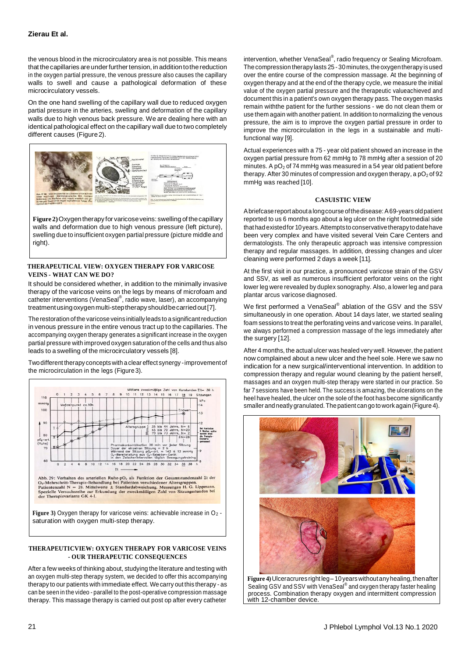the venous blood in the microcirculatory area is not possible. This means that the capillaries are under further tension, in addition to the reduction in the oxygen partial pressure, the venous pressure also causes the capillary walls to swell and cause a pathological deformation of these microcirculatory vessels.

On the one hand swelling of the capillary wall due to reduced oxygen partial pressure in the arteries, swelling and deformation of the capillary walls due to high venous back pressure. We are dealing here with an identical pathological effect on the capillary wall due to two completely different causes (Figure2).



**Figure 2)**Oxygentherapy for varicoseveins: swelling of thecapillary walls and deformation due to high venous pressure (left picture), swelling due to insufficient oxygen partial pressure (picture middle and right).

## **THERAPEUTICAL VIEW: OXYGEN THERAPY FOR VARICOSE VEINS - WHAT CAN WE DO?**

It should be considered whether, in addition to the minimally invasive therapy of the varicose veins on the legs by means of microfoam and catheter interventions (VenaSeal®, radio wave, laser), an accompanying treatment using oxygen multi-step therapy should be carried out [7].

The restoration of the varicose veins initially leads to a significant reduction in venous pressure in the entire venous tract up to the capillaries. The accompanying oxygen therapy generates a significant increase in the oxygen partial pressure with improved oxygen saturation of the cells and thus also leads to a swelling of the microcirculatory vessels [8].

Twodifferent therapy concepts with a clear effect synergy -improvementof the microcirculation in the legs (Figure 3).



## **THERAPEUTICVIEW: OXYGEN THERAPY FOR VARICOSE VEINS - OUR THERAPEUTIC CONSEQUENCES**

After a few weeks of thinking about, studying the literature and testing with an oxygen multi-step therapy system, we decided to offer this accompanying therapy to our patients with immediate effect. We carry out this therapy - as can be seen in the video - parallel to the post-operative compression massage therapy. This massage therapy is carried out post op after every catheter

intervention, whether VenaSeal®, radio frequency or Sealing Microfoam. The compression therapy lasts 25 - 30 minutes, the oxygentherapy is used over the entire course of the compression massage. At the beginning of oxygen therapy and at the end of the therapy cycle, we measure the initial value of the oxygen partial pressure and the therapeutic valueachieved and document this in a patient's own oxygen therapy pass. The oxygen masks remain withthe patient for the further sessions - we do not clean them or use them again with another patient. In addition to normalizing the venous pressure, the aim is to improve the oxygen partial pressure in order to improve the microcirculation in the legs in a sustainable and multifunctional way [9].

Actual experiences with a 75 - year old patient showed an increase in the oxygen partial pressure from 62 mmHg to 78 mmHg after a session of 20 minutes. A  $pO<sub>2</sub>$  of 74 mmHg was measured in a 54 year old patient before therapy. After 30 minutes of compression and oxygen therapy, a  $pO<sub>2</sub>$  of 92 mmHg was reached [10].

## **CASUISTIC VIEW**

Abriefcasereportabouta longcourse ofthedisease:A69-years oldpatient reported to us 6 months ago about a leg ulcer on the right footmedial side that had existed for 10 years. Attempts to conservative therapy to date have been very complex and have visited several Vein Care Centers and dermatologists. The only therapeutic approach was intensive compression therapy and regular massages. In addition, dressing changes and ulcer cleaning were performed 2 days a week [11].

At the first visit in our practice, a pronounced varicose strain of the GSV and SSV, as well as numerous insufficient perforator veins on the right lower leg were revealed by duplex sonography. Also, a lower leg and para plantar arcus varicose diagnosed.

We first performed a VenaSeal® ablation of the GSV and the SSV simultaneously in one operation. About 14 days later, we started sealing foam sessions to treat the perforating veins and varicose veins. In parallel, we always performed a compression massage of the legs immediately after the surgery [12].

After 4 months, the actual ulcer was healed very well. However, the patient now complained about a new ulcer and the heel sole. Here we saw no indication for a new surgical/interventional intervention. In addition to compression therapy and regular wound cleaning by the patient herself, massages and an oxygen multi-step therapy were started in our practice. So far 7 sessions have been held. The success is amazing, the ulcerations on the heel have healed, the ulcer on the sole of the foot has become significantly smaller and neatly granulated. The patient can go to work again(Figure 4).



**Figure 4)** Ulceracruresright leg– 10years withoutanyhealing,thenafter Sealing GSV and SSV with VenaSeal® and oxygen therapy faster healing process. Combination therapy oxygen and intermittent compression with 12-chamber device.